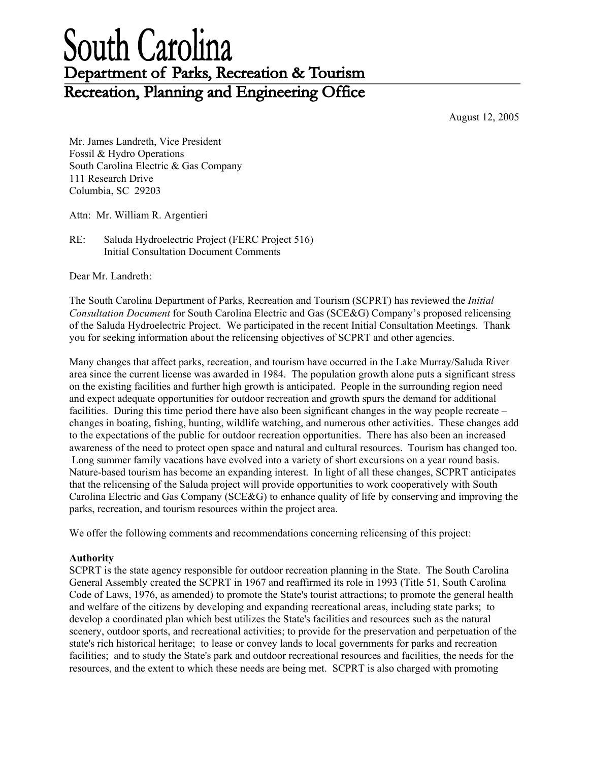# South Carolina Department of Parks, Recreation & Tourism Recreation, Planning and Engineering Office

August 12, 2005

Mr. James Landreth, Vice President Fossil & Hydro Operations South Carolina Electric & Gas Company 111 Research Drive Columbia, SC 29203

Attn: Mr. William R. Argentieri

RE: Saluda Hydroelectric Project (FERC Project 516) Initial Consultation Document Comments

Dear Mr. Landreth:

The South Carolina Department of Parks, Recreation and Tourism (SCPRT) has reviewed the *Initial Consultation Document* for South Carolina Electric and Gas (SCE&G) Company's proposed relicensing of the Saluda Hydroelectric Project. We participated in the recent Initial Consultation Meetings. Thank you for seeking information about the relicensing objectives of SCPRT and other agencies.

Many changes that affect parks, recreation, and tourism have occurred in the Lake Murray/Saluda River area since the current license was awarded in 1984. The population growth alone puts a significant stress on the existing facilities and further high growth is anticipated. People in the surrounding region need and expect adequate opportunities for outdoor recreation and growth spurs the demand for additional facilities. During this time period there have also been significant changes in the way people recreate – changes in boating, fishing, hunting, wildlife watching, and numerous other activities. These changes add to the expectations of the public for outdoor recreation opportunities. There has also been an increased awareness of the need to protect open space and natural and cultural resources. Tourism has changed too. Long summer family vacations have evolved into a variety of short excursions on a year round basis. Nature-based tourism has become an expanding interest. In light of all these changes, SCPRT anticipates that the relicensing of the Saluda project will provide opportunities to work cooperatively with South Carolina Electric and Gas Company (SCE&G) to enhance quality of life by conserving and improving the parks, recreation, and tourism resources within the project area.

We offer the following comments and recommendations concerning relicensing of this project:

#### **Authority**

SCPRT is the state agency responsible for outdoor recreation planning in the State. The South Carolina General Assembly created the SCPRT in 1967 and reaffirmed its role in 1993 (Title 51, South Carolina Code of Laws, 1976, as amended) to promote the State's tourist attractions; to promote the general health and welfare of the citizens by developing and expanding recreational areas, including state parks; to develop a coordinated plan which best utilizes the State's facilities and resources such as the natural scenery, outdoor sports, and recreational activities; to provide for the preservation and perpetuation of the state's rich historical heritage; to lease or convey lands to local governments for parks and recreation facilities; and to study the State's park and outdoor recreational resources and facilities, the needs for the resources, and the extent to which these needs are being met. SCPRT is also charged with promoting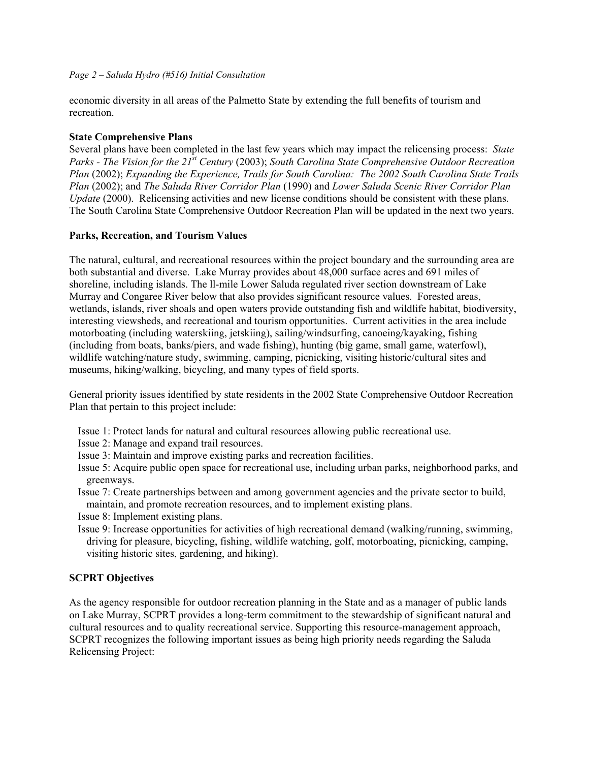## *Page 2 – Saluda Hydro (#516) Initial Consultation*

economic diversity in all areas of the Palmetto State by extending the full benefits of tourism and recreation.

# **State Comprehensive Plans**

Several plans have been completed in the last few years which may impact the relicensing process: *State Parks - The Vision for the 21st Century* (2003); *South Carolina State Comprehensive Outdoor Recreation Plan* (2002); *Expanding the Experience, Trails for South Carolina: The 2002 South Carolina State Trails Plan* (2002); and *The Saluda River Corridor Plan* (1990) and *Lower Saluda Scenic River Corridor Plan Update* (2000). Relicensing activities and new license conditions should be consistent with these plans. The South Carolina State Comprehensive Outdoor Recreation Plan will be updated in the next two years.

# **Parks, Recreation, and Tourism Values**

The natural, cultural, and recreational resources within the project boundary and the surrounding area are both substantial and diverse. Lake Murray provides about 48,000 surface acres and 691 miles of shoreline, including islands. The ll-mile Lower Saluda regulated river section downstream of Lake Murray and Congaree River below that also provides significant resource values. Forested areas, wetlands, islands, river shoals and open waters provide outstanding fish and wildlife habitat, biodiversity, interesting viewsheds, and recreational and tourism opportunities. Current activities in the area include motorboating (including waterskiing, jetskiing), sailing/windsurfing, canoeing/kayaking, fishing (including from boats, banks/piers, and wade fishing), hunting (big game, small game, waterfowl), wildlife watching/nature study, swimming, camping, picnicking, visiting historic/cultural sites and museums, hiking/walking, bicycling, and many types of field sports.

General priority issues identified by state residents in the 2002 State Comprehensive Outdoor Recreation Plan that pertain to this project include:

- Issue 1: Protect lands for natural and cultural resources allowing public recreational use.
- Issue 2: Manage and expand trail resources.
- Issue 3: Maintain and improve existing parks and recreation facilities.
- Issue 5: Acquire public open space for recreational use, including urban parks, neighborhood parks, and greenways.
- Issue 7: Create partnerships between and among government agencies and the private sector to build, maintain, and promote recreation resources, and to implement existing plans.
- Issue 8: Implement existing plans.
- Issue 9: Increase opportunities for activities of high recreational demand (walking/running, swimming, driving for pleasure, bicycling, fishing, wildlife watching, golf, motorboating, picnicking, camping, visiting historic sites, gardening, and hiking).

# **SCPRT Objectives**

As the agency responsible for outdoor recreation planning in the State and as a manager of public lands on Lake Murray, SCPRT provides a long-term commitment to the stewardship of significant natural and cultural resources and to quality recreational service. Supporting this resource-management approach, SCPRT recognizes the following important issues as being high priority needs regarding the Saluda Relicensing Project: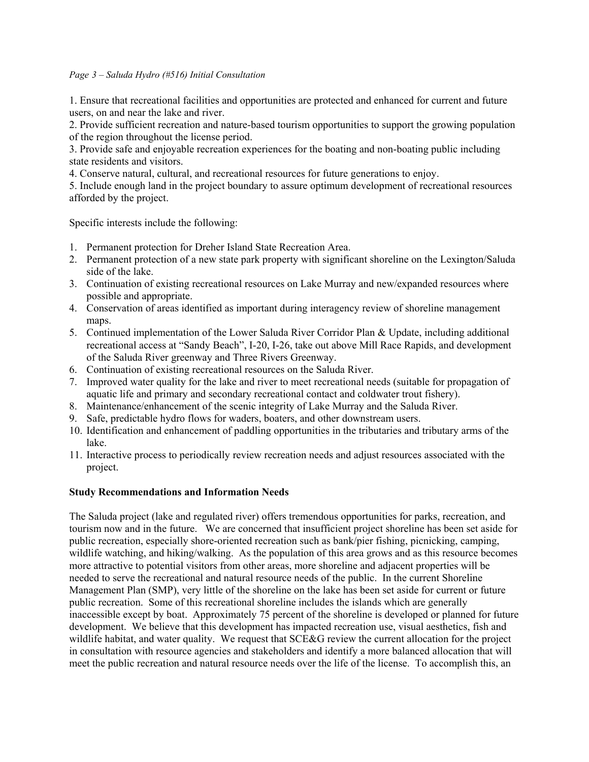## *Page 3 – Saluda Hydro (#516) Initial Consultation*

1. Ensure that recreational facilities and opportunities are protected and enhanced for current and future users, on and near the lake and river.

2. Provide sufficient recreation and nature-based tourism opportunities to support the growing population of the region throughout the license period.

3. Provide safe and enjoyable recreation experiences for the boating and non-boating public including state residents and visitors.

4. Conserve natural, cultural, and recreational resources for future generations to enjoy.

5. Include enough land in the project boundary to assure optimum development of recreational resources afforded by the project.

Specific interests include the following:

- 1. Permanent protection for Dreher Island State Recreation Area.
- 2. Permanent protection of a new state park property with significant shoreline on the Lexington/Saluda side of the lake.
- 3. Continuation of existing recreational resources on Lake Murray and new/expanded resources where possible and appropriate.
- 4. Conservation of areas identified as important during interagency review of shoreline management maps.
- 5. Continued implementation of the Lower Saluda River Corridor Plan & Update, including additional recreational access at "Sandy Beach", I-20, I-26, take out above Mill Race Rapids, and development of the Saluda River greenway and Three Rivers Greenway.
- 6. Continuation of existing recreational resources on the Saluda River.
- 7. Improved water quality for the lake and river to meet recreational needs (suitable for propagation of aquatic life and primary and secondary recreational contact and coldwater trout fishery).
- 8. Maintenance/enhancement of the scenic integrity of Lake Murray and the Saluda River.
- 9. Safe, predictable hydro flows for waders, boaters, and other downstream users.
- 10. Identification and enhancement of paddling opportunities in the tributaries and tributary arms of the lake.
- 11. Interactive process to periodically review recreation needs and adjust resources associated with the project.

#### **Study Recommendations and Information Needs**

The Saluda project (lake and regulated river) offers tremendous opportunities for parks, recreation, and tourism now and in the future. We are concerned that insufficient project shoreline has been set aside for public recreation, especially shore-oriented recreation such as bank/pier fishing, picnicking, camping, wildlife watching, and hiking/walking. As the population of this area grows and as this resource becomes more attractive to potential visitors from other areas, more shoreline and adjacent properties will be needed to serve the recreational and natural resource needs of the public. In the current Shoreline Management Plan (SMP), very little of the shoreline on the lake has been set aside for current or future public recreation. Some of this recreational shoreline includes the islands which are generally inaccessible except by boat. Approximately 75 percent of the shoreline is developed or planned for future development. We believe that this development has impacted recreation use, visual aesthetics, fish and wildlife habitat, and water quality. We request that SCE&G review the current allocation for the project in consultation with resource agencies and stakeholders and identify a more balanced allocation that will meet the public recreation and natural resource needs over the life of the license. To accomplish this, an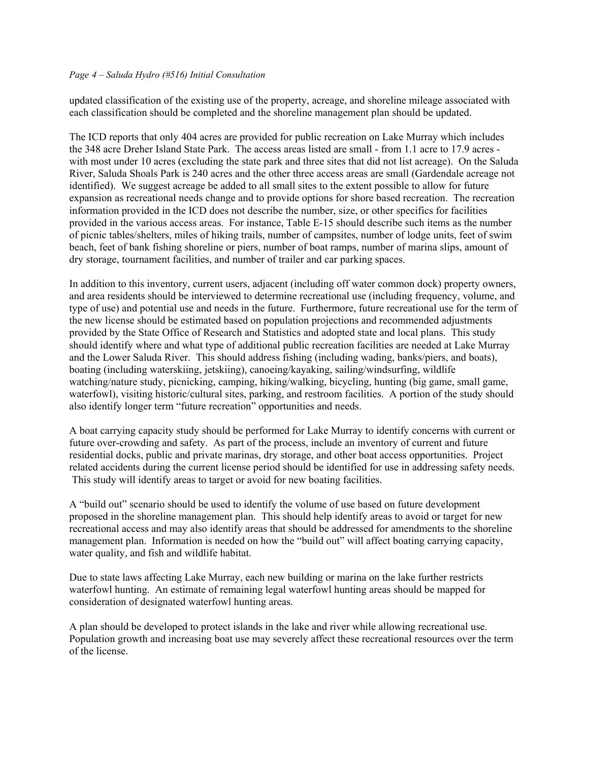### *Page 4 – Saluda Hydro (#516) Initial Consultation*

updated classification of the existing use of the property, acreage, and shoreline mileage associated with each classification should be completed and the shoreline management plan should be updated.

The ICD reports that only 404 acres are provided for public recreation on Lake Murray which includes the 348 acre Dreher Island State Park. The access areas listed are small - from 1.1 acre to 17.9 acres with most under 10 acres (excluding the state park and three sites that did not list acreage). On the Saluda River, Saluda Shoals Park is 240 acres and the other three access areas are small (Gardendale acreage not identified). We suggest acreage be added to all small sites to the extent possible to allow for future expansion as recreational needs change and to provide options for shore based recreation. The recreation information provided in the ICD does not describe the number, size, or other specifics for facilities provided in the various access areas. For instance, Table E-15 should describe such items as the number of picnic tables/shelters, miles of hiking trails, number of campsites, number of lodge units, feet of swim beach, feet of bank fishing shoreline or piers, number of boat ramps, number of marina slips, amount of dry storage, tournament facilities, and number of trailer and car parking spaces.

In addition to this inventory, current users, adjacent (including off water common dock) property owners, and area residents should be interviewed to determine recreational use (including frequency, volume, and type of use) and potential use and needs in the future. Furthermore, future recreational use for the term of the new license should be estimated based on population projections and recommended adjustments provided by the State Office of Research and Statistics and adopted state and local plans. This study should identify where and what type of additional public recreation facilities are needed at Lake Murray and the Lower Saluda River. This should address fishing (including wading, banks/piers, and boats), boating (including waterskiing, jetskiing), canoeing/kayaking, sailing/windsurfing, wildlife watching/nature study, picnicking, camping, hiking/walking, bicycling, hunting (big game, small game, waterfowl), visiting historic/cultural sites, parking, and restroom facilities. A portion of the study should also identify longer term "future recreation" opportunities and needs.

A boat carrying capacity study should be performed for Lake Murray to identify concerns with current or future over-crowding and safety. As part of the process, include an inventory of current and future residential docks, public and private marinas, dry storage, and other boat access opportunities. Project related accidents during the current license period should be identified for use in addressing safety needs. This study will identify areas to target or avoid for new boating facilities.

A "build out" scenario should be used to identify the volume of use based on future development proposed in the shoreline management plan. This should help identify areas to avoid or target for new recreational access and may also identify areas that should be addressed for amendments to the shoreline management plan. Information is needed on how the "build out" will affect boating carrying capacity, water quality, and fish and wildlife habitat.

Due to state laws affecting Lake Murray, each new building or marina on the lake further restricts waterfowl hunting. An estimate of remaining legal waterfowl hunting areas should be mapped for consideration of designated waterfowl hunting areas.

A plan should be developed to protect islands in the lake and river while allowing recreational use. Population growth and increasing boat use may severely affect these recreational resources over the term of the license.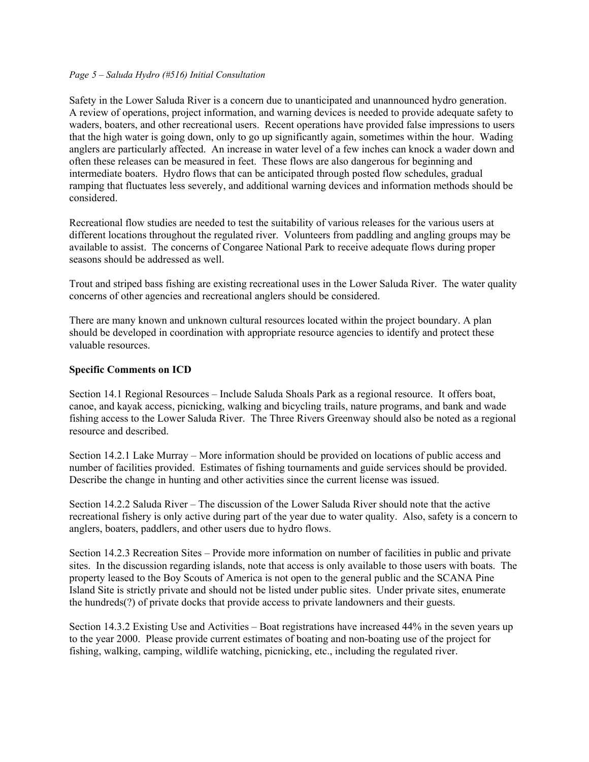## *Page 5 – Saluda Hydro (#516) Initial Consultation*

Safety in the Lower Saluda River is a concern due to unanticipated and unannounced hydro generation. A review of operations, project information, and warning devices is needed to provide adequate safety to waders, boaters, and other recreational users. Recent operations have provided false impressions to users that the high water is going down, only to go up significantly again, sometimes within the hour. Wading anglers are particularly affected. An increase in water level of a few inches can knock a wader down and often these releases can be measured in feet. These flows are also dangerous for beginning and intermediate boaters. Hydro flows that can be anticipated through posted flow schedules, gradual ramping that fluctuates less severely, and additional warning devices and information methods should be considered.

Recreational flow studies are needed to test the suitability of various releases for the various users at different locations throughout the regulated river. Volunteers from paddling and angling groups may be available to assist. The concerns of Congaree National Park to receive adequate flows during proper seasons should be addressed as well.

Trout and striped bass fishing are existing recreational uses in the Lower Saluda River. The water quality concerns of other agencies and recreational anglers should be considered.

There are many known and unknown cultural resources located within the project boundary. A plan should be developed in coordination with appropriate resource agencies to identify and protect these valuable resources.

## **Specific Comments on ICD**

Section 14.1 Regional Resources – Include Saluda Shoals Park as a regional resource. It offers boat, canoe, and kayak access, picnicking, walking and bicycling trails, nature programs, and bank and wade fishing access to the Lower Saluda River. The Three Rivers Greenway should also be noted as a regional resource and described.

Section 14.2.1 Lake Murray – More information should be provided on locations of public access and number of facilities provided. Estimates of fishing tournaments and guide services should be provided. Describe the change in hunting and other activities since the current license was issued.

Section 14.2.2 Saluda River – The discussion of the Lower Saluda River should note that the active recreational fishery is only active during part of the year due to water quality. Also, safety is a concern to anglers, boaters, paddlers, and other users due to hydro flows.

Section 14.2.3 Recreation Sites – Provide more information on number of facilities in public and private sites. In the discussion regarding islands, note that access is only available to those users with boats. The property leased to the Boy Scouts of America is not open to the general public and the SCANA Pine Island Site is strictly private and should not be listed under public sites. Under private sites, enumerate the hundreds(?) of private docks that provide access to private landowners and their guests.

Section 14.3.2 Existing Use and Activities – Boat registrations have increased 44% in the seven years up to the year 2000. Please provide current estimates of boating and non-boating use of the project for fishing, walking, camping, wildlife watching, picnicking, etc., including the regulated river.